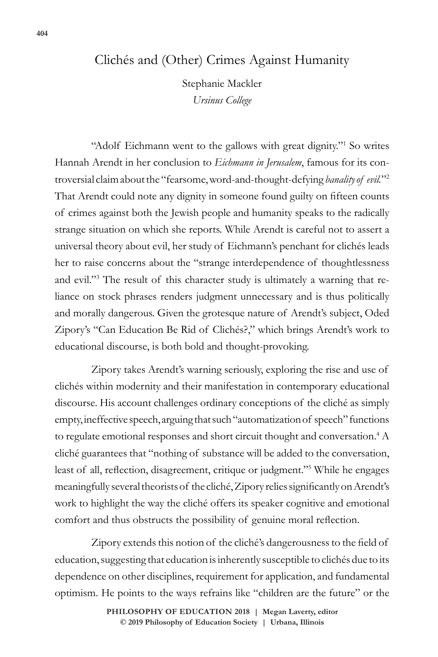## Clichés and (Other) Crimes Against Humanity

Stephanie Mackler *Ursinus College*

"Adolf Eichmann went to the gallows with great dignity."<sup>1</sup> So writes Hannah Arendt in her conclusion to *Eichmann in Jerusalem*, famous for its controversial claim about the "fearsome, word-and-thought-defying *banality of evil.*"2 That Arendt could note any dignity in someone found guilty on fifteen counts of crimes against both the Jewish people and humanity speaks to the radically strange situation on which she reports. While Arendt is careful not to assert a universal theory about evil, her study of Eichmann's penchant for clichés leads her to raise concerns about the "strange interdependence of thoughtlessness and evil."3 The result of this character study is ultimately a warning that reliance on stock phrases renders judgment unnecessary and is thus politically and morally dangerous. Given the grotesque nature of Arendt's subject, Oded Zipory's "Can Education Be Rid of Clichés?," which brings Arendt's work to educational discourse, is both bold and thought-provoking.

Zipory takes Arendt's warning seriously, exploring the rise and use of clichés within modernity and their manifestation in contemporary educational discourse. His account challenges ordinary conceptions of the cliché as simply empty, ineffective speech, arguing that such "automatization of speech" functions to regulate emotional responses and short circuit thought and conversation.<sup>4</sup> A cliché guarantees that "nothing of substance will be added to the conversation, least of all, reflection, disagreement, critique or judgment."<sup>5</sup> While he engages meaningfully several theorists of the cliché, Zipory relies significantly on Arendt's work to highlight the way the cliché offers its speaker cognitive and emotional comfort and thus obstructs the possibility of genuine moral reflection.

Zipory extends this notion of the cliché's dangerousness to the field of education, suggesting that education is inherently susceptible to clichés due to its dependence on other disciplines, requirement for application, and fundamental optimism. He points to the ways refrains like "children are the future" or the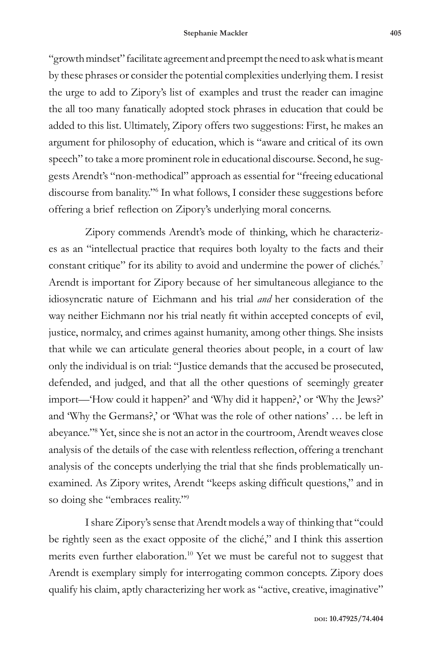"growth mindset" facilitate agreement and preempt the need to ask what is meant by these phrases or consider the potential complexities underlying them. I resist the urge to add to Zipory's list of examples and trust the reader can imagine the all too many fanatically adopted stock phrases in education that could be added to this list. Ultimately, Zipory offers two suggestions: First, he makes an argument for philosophy of education, which is "aware and critical of its own speech" to take a more prominent role in educational discourse. Second, he suggests Arendt's "non-methodical" approach as essential for "freeing educational discourse from banality."6 In what follows, I consider these suggestions before offering a brief reflection on Zipory's underlying moral concerns.

Zipory commends Arendt's mode of thinking, which he characterizes as an "intellectual practice that requires both loyalty to the facts and their constant critique" for its ability to avoid and undermine the power of clichés.<sup>7</sup> Arendt is important for Zipory because of her simultaneous allegiance to the idiosyncratic nature of Eichmann and his trial *and* her consideration of the way neither Eichmann nor his trial neatly fit within accepted concepts of evil, justice, normalcy, and crimes against humanity, among other things. She insists that while we can articulate general theories about people, in a court of law only the individual is on trial: "Justice demands that the accused be prosecuted, defended, and judged, and that all the other questions of seemingly greater import—'How could it happen?' and 'Why did it happen?,' or 'Why the Jews?' and 'Why the Germans?,' or 'What was the role of other nations' … be left in abeyance."8 Yet, since she is not an actor in the courtroom, Arendt weaves close analysis of the details of the case with relentless reflection, offering a trenchant analysis of the concepts underlying the trial that she finds problematically unexamined. As Zipory writes, Arendt "keeps asking difficult questions," and in so doing she "embraces reality."9

I share Zipory's sense that Arendt models a way of thinking that "could be rightly seen as the exact opposite of the cliché," and I think this assertion merits even further elaboration.10 Yet we must be careful not to suggest that Arendt is exemplary simply for interrogating common concepts. Zipory does qualify his claim, aptly characterizing her work as "active, creative, imaginative"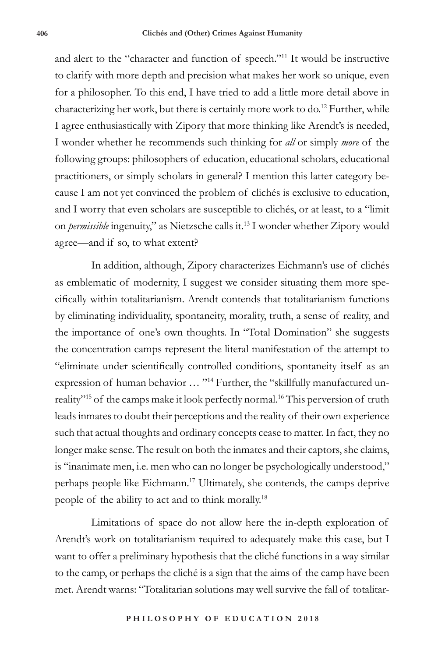and alert to the "character and function of speech."11 It would be instructive to clarify with more depth and precision what makes her work so unique, even for a philosopher. To this end, I have tried to add a little more detail above in characterizing her work, but there is certainly more work to do.<sup>12</sup> Further, while I agree enthusiastically with Zipory that more thinking like Arendt's is needed, I wonder whether he recommends such thinking for *all* or simply *more* of the following groups: philosophers of education, educational scholars, educational practitioners, or simply scholars in general? I mention this latter category because I am not yet convinced the problem of clichés is exclusive to education, and I worry that even scholars are susceptible to clichés, or at least, to a "limit on *permissible* ingenuity," as Nietzsche calls it.13 I wonder whether Zipory would agree—and if so, to what extent?

In addition, although, Zipory characterizes Eichmann's use of clichés as emblematic of modernity, I suggest we consider situating them more specifically within totalitarianism. Arendt contends that totalitarianism functions by eliminating individuality, spontaneity, morality, truth, a sense of reality, and the importance of one's own thoughts. In "Total Domination" she suggests the concentration camps represent the literal manifestation of the attempt to "eliminate under scientifically controlled conditions, spontaneity itself as an expression of human behavior ... "<sup>14</sup> Further, the "skillfully manufactured unreality"<sup>15</sup> of the camps make it look perfectly normal.<sup>16</sup> This perversion of truth leads inmates to doubt their perceptions and the reality of their own experience such that actual thoughts and ordinary concepts cease to matter. In fact, they no longer make sense. The result on both the inmates and their captors, she claims, is "inanimate men, i.e. men who can no longer be psychologically understood," perhaps people like Eichmann.17 Ultimately, she contends, the camps deprive people of the ability to act and to think morally.18

Limitations of space do not allow here the in-depth exploration of Arendt's work on totalitarianism required to adequately make this case, but I want to offer a preliminary hypothesis that the cliché functions in a way similar to the camp, or perhaps the cliché is a sign that the aims of the camp have been met. Arendt warns: "Totalitarian solutions may well survive the fall of totalitar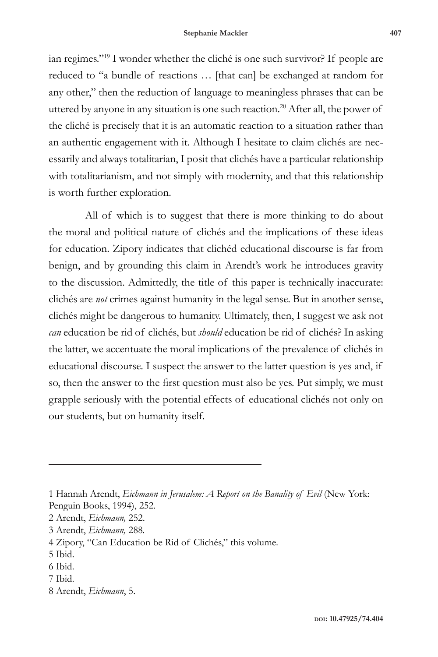ian regimes."19 I wonder whether the cliché is one such survivor? If people are reduced to "a bundle of reactions … [that can] be exchanged at random for any other," then the reduction of language to meaningless phrases that can be uttered by anyone in any situation is one such reaction.<sup>20</sup> After all, the power of the cliché is precisely that it is an automatic reaction to a situation rather than an authentic engagement with it. Although I hesitate to claim clichés are necessarily and always totalitarian, I posit that clichés have a particular relationship with totalitarianism, and not simply with modernity, and that this relationship is worth further exploration.

All of which is to suggest that there is more thinking to do about the moral and political nature of clichés and the implications of these ideas for education. Zipory indicates that clichéd educational discourse is far from benign, and by grounding this claim in Arendt's work he introduces gravity to the discussion. Admittedly, the title of this paper is technically inaccurate: clichés are *not* crimes against humanity in the legal sense. But in another sense, clichés might be dangerous to humanity. Ultimately, then, I suggest we ask not *can* education be rid of clichés, but *should* education be rid of clichés? In asking the latter, we accentuate the moral implications of the prevalence of clichés in educational discourse. I suspect the answer to the latter question is yes and, if so, then the answer to the first question must also be yes. Put simply, we must grapple seriously with the potential effects of educational clichés not only on our students, but on humanity itself.

- 2 Arendt, *Eichmann,* 252.
- 3 Arendt, *Eichmann,* 288*.*
- 4 Zipory, "Can Education be Rid of Clichés," this volume.
- 5 Ibid.
- 6 Ibid.
- 7 Ibid.
- 8 Arendt, *Eichmann*, 5.

<sup>1</sup> Hannah Arendt, *Eichmann in Jerusalem: A Report on the Banality of Evil* (New York: Penguin Books, 1994), 252.